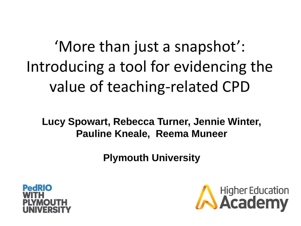'More than just a snapshot': Introducing a tool for evidencing the value of teaching-related CPD

**Lucy Spowart, Rebecca Turner, Jennie Winter, Pauline Kneale, Reema Muneer** 

**Plymouth University**



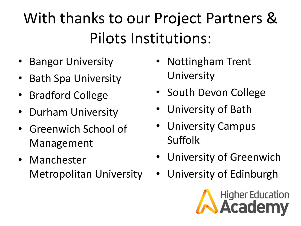## With thanks to our Project Partners & Pilots Institutions:

- Bangor University
- Bath Spa University
- Bradford College
- Durham University
- Greenwich School of Management
- Manchester Metropolitan University
- Nottingham Trent University
- South Devon College
- University of Bath
- University Campus Suffolk
- University of Greenwich
- University of Edinburgh

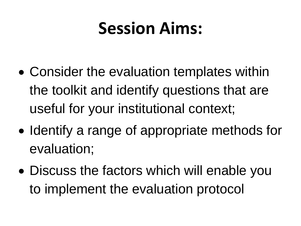## **Session Aims:**

- Consider the evaluation templates within the toolkit and identify questions that are useful for your institutional context;
- Identify a range of appropriate methods for evaluation;
- Discuss the factors which will enable you to implement the evaluation protocol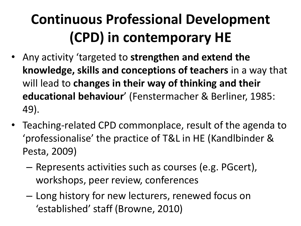#### **Continuous Professional Development (CPD) in contemporary HE**

- Any activity 'targeted to **strengthen and extend the knowledge, skills and conceptions of teachers** in a way that will lead to **changes in their way of thinking and their educational behaviour**' (Fenstermacher & Berliner, 1985: 49).
- Teaching-related CPD commonplace, result of the agenda to 'professionalise' the practice of T&L in HE (Kandlbinder & Pesta, 2009)
	- Represents activities such as courses (e.g. PGcert), workshops, peer review, conferences
	- Long history for new lecturers, renewed focus on 'established' staff (Browne, 2010)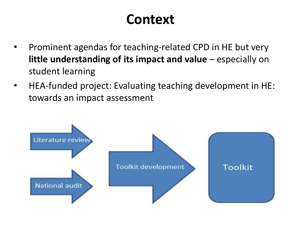#### **Context**

- Prominent agendas for teaching-related CPD in HE but very **little understanding of its impact and value** – especially on student learning
- HEA-funded project: Evaluating teaching development in HE: towards an impact assessment

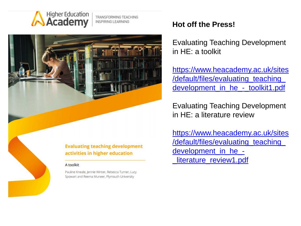

TRANSFORMING TEACHING **INSPIRING LEARNING** 



activities in higher education

#### A toolkit

Pauline Kneale, Jennie Winter, Rebecca Turner, Lucy Spowart and Reema Muneer, Plymouth University

#### **Hot off the Press!**

Evaluating Teaching Development in HE: a toolkit

[https://www.heacademy.ac.uk/sites](https://www.heacademy.ac.uk/sites/default/files/evaluating_teaching_development_in_he_-_toolkit1.pdf) [/default/files/evaluating\\_teaching\\_](https://www.heacademy.ac.uk/sites/default/files/evaluating_teaching_development_in_he_-_toolkit1.pdf) [development\\_in\\_he\\_-\\_toolkit1.pdf](https://www.heacademy.ac.uk/sites/default/files/evaluating_teaching_development_in_he_-_toolkit1.pdf)

Evaluating Teaching Development in HE: a literature review

[https://www.heacademy.ac.uk/sites](https://www.heacademy.ac.uk/sites/default/files/evaluating_teaching_development_in_he_-_literature_review1.pdf) /default/files/evaluating\_teaching [development\\_in\\_he\\_-](https://www.heacademy.ac.uk/sites/default/files/evaluating_teaching_development_in_he_-_literature_review1.pdf) [\\_literature\\_review1.pdf](https://www.heacademy.ac.uk/sites/default/files/evaluating_teaching_development_in_he_-_literature_review1.pdf)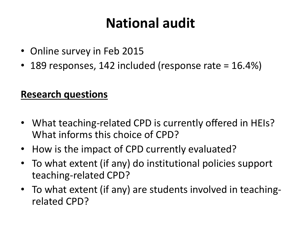#### **National audit**

- Online survey in Feb 2015
- 189 responses, 142 included (response rate = 16.4%)

#### **Research questions**

- What teaching-related CPD is currently offered in HEIs? What informs this choice of CPD?
- How is the impact of CPD currently evaluated?
- To what extent (if any) do institutional policies support teaching-related CPD?
- To what extent (if any) are students involved in teachingrelated CPD?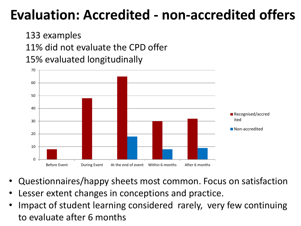#### **Evaluation: Accredited - non-accredited offers**

133 examples 11% did not evaluate the CPD offer 15% evaluated longitudinally



- Questionnaires/happy sheets most common. Focus on satisfaction
- Lesser extent changes in conceptions and practice.
- Impact of student learning considered rarely, very few continuing to evaluate after 6 months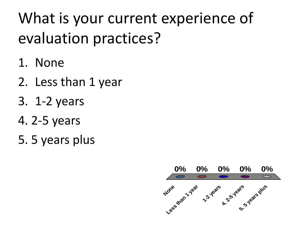### What is your current experience of evaluation practices?

- 1. None
- 2. Less than 1 year
- 3. 1-2 years
- 4. 2-5 years
- 5. 5 years plus

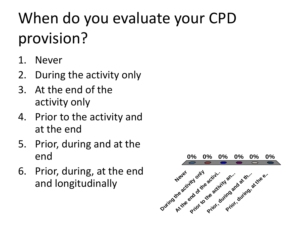## When do you evaluate your CPD provision?

- 1. Never
- 2. During the activity only
- 3. At the end of the activity only
- 4. Prior to the activity and at the end
- 5. Prior, during and at the end
- 6. Prior, during, at the end and longitudinally

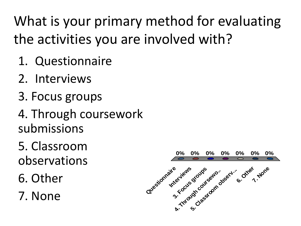What is your primary method for evaluating the activities you are involved with?

- 1. Questionnaire
- 2. Interviews
- 3. Focus groups
- 4. Through coursework submissions

5. Classroom observations

6. Other

7. None

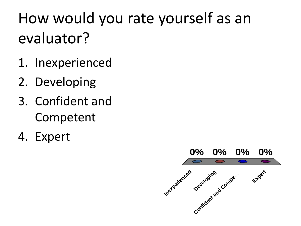### How would you rate yourself as an evaluator?

- 1. Inexperienced
- 2. Developing
- 3. Confident and Competent
- 4. Expert

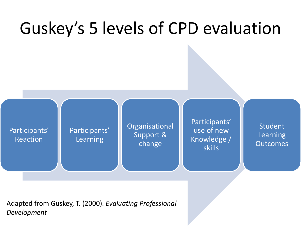

Adapted from Guskey, T. (2000). *Evaluating Professional Development*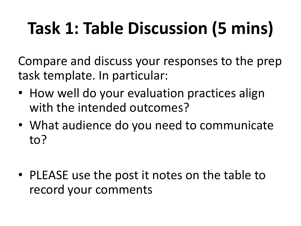## **Task 1: Table Discussion (5 mins)**

Compare and discuss your responses to the prep task template. In particular:

- How well do your evaluation practices align with the intended outcomes?
- What audience do you need to communicate to?
- PLEASE use the post it notes on the table to record your comments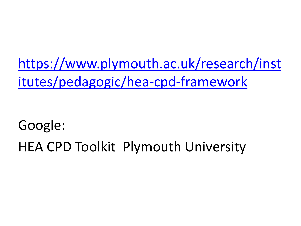[https://www.plymouth.ac.uk/research/inst](https://www.plymouth.ac.uk/research/institutes/pedagogic/hea-cpd-framework) [itutes/pedagogic/hea-cpd-framework](https://www.plymouth.ac.uk/research/institutes/pedagogic/hea-cpd-framework)

#### Google: HEA CPD Toolkit Plymouth University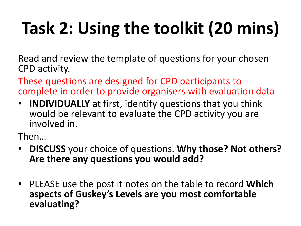# **Task 2: Using the toolkit (20 mins)**

Read and review the template of questions for your chosen CPD activity.

These questions are designed for CPD participants to complete in order to provide organisers with evaluation data

• **INDIVIDUALLY** at first, identify questions that you think would be relevant to evaluate the CPD activity you are involved in.

Then…

- **DISCUSS** your choice of questions. **Why those? Not others? Are there any questions you would add?**
- PLEASE use the post it notes on the table to record **Which aspects of Guskey's Levels are you most comfortable evaluating?**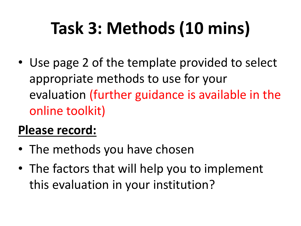## **Task 3: Methods (10 mins)**

• Use page 2 of the template provided to select appropriate methods to use for your evaluation (further guidance is available in the online toolkit)

#### **Please record:**

- The methods you have chosen
- The factors that will help you to implement this evaluation in your institution?